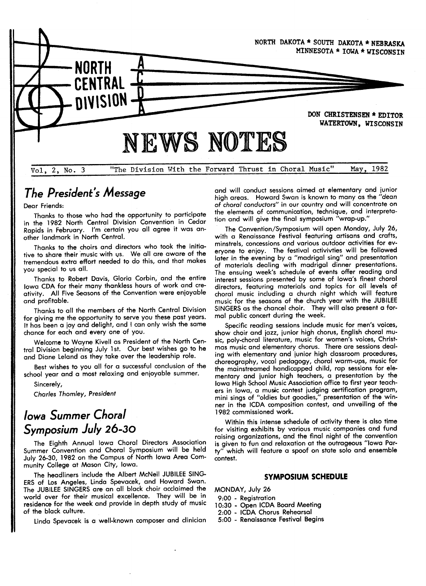

# The President's Message

Dear Friends:

Thanks to those who had the opportunity to participate in the 1982 North Central Division Convention in Cedar other landmark in North Central.

Thanks to the choirs and directors who took the initiative to share their music with us. We all are aware of the tremendous extra effort needed to do this, and that makes you special to us all.

Thanks to Robert Davis, Gloria Corbin, and the entire Iowa CDA for their many thankless hours of work and creativity. All Five Seasons of the Convention were enioyable and profitable.

Thanks to all the members of the North Central Division for giving me the opportunity to serve you these past years. It has been a ioy and delight, and I can only wish the same chance for each and every one of you.

Welcome to Wayne Kivell as President of the North Central Division beginning July lst. Our best wishes go to he and Diane Leland as they take over the leadership role.

Best wishes to you all for a successful conclusion of the school year and a most relaxing and enioyable summer.

Sincerely,

Charles Thomley, President

# Iowa Summer Choral Symposium July 26-3o

The Eighth Annual Iowa Choral Directors Association Summer Convention and Choral Symposium will be held July 26-30,1982 on the Campus of North Iowa Area Community College at Mason City, Iowa.

The headliners include the Albert MCNeil JUBILEE SING-ERS of Los Angeles, Linda Spevacek, and Howard Swan. The JUBILEE SINGERS are an all black choir acclaimed the world over for their musical excellence. They will be in residence for the week and provide in depth study of music of the black culture.

Linda Spevacek is a well-known composer and clinician

and will conduct sessions aimed at elementary and iunior high areas. Howard Swan is known to many as the "dean of choral conductors" in our country and will concentrate on the elements of communication, technique, and interpretation and will give the final symposium "wrap-up."

The Convention/Symposium will open Monday, July 26, with a Renaissance Festival featuring artisans and crafts, minstrels, concessions and various outdoor activities for everyone to enioy. The festival activivties will be followed later in the evening by a "madrigal sing" and presentation of materials dealing with madrigal dinner presentations. The ensuing week's schedule of events offer reading and interest sessions presented by some of lowa`s finest choral directors, featuring materials and topics for all levels of choral music including a church night which will feature music for the seasons of the church year with the JUBILEE SINGERS as the chancel choir. They will also present a formal public concert during the week.

Specific reading sessions include music for men's voices, show choir and jazz, junior high chorus, English choral music, poly-choral literature, music for women's voices, Christmas music and elementary chorus. There are sessions dealing with elementary and iunior high classroom procedures, choreography, vocal pedagogy, choral warm-ups, music for the mainstreamed handicapped child, rap sessions for elementary and iunior high teachers, a presentation by the Iowa High School Music Association office to first year teachers in Iowa, a music contest judging certification program, mini sings of "oldies but goodies," presentation of the winner in the lcDA composition contest, and unveiling of the 1982 commissioned work.

Within this intense schedule of activity there is also time for visiting exhibits by various music companies and fund raising organizations, and the final night of the convention is given to fun and relaxation at the outrageous ''lowa Party" which will feature a spoof on state solo and ensemble contest.

### SYMPOSIUM SCHEDULE

MONDAY, July 26

- 9:00 Registration
- 10:30 Open ICDA Board Meetina
- 2:00 ICDA Chorus Rehearsal
- 5:00 Renaissance Festival Begins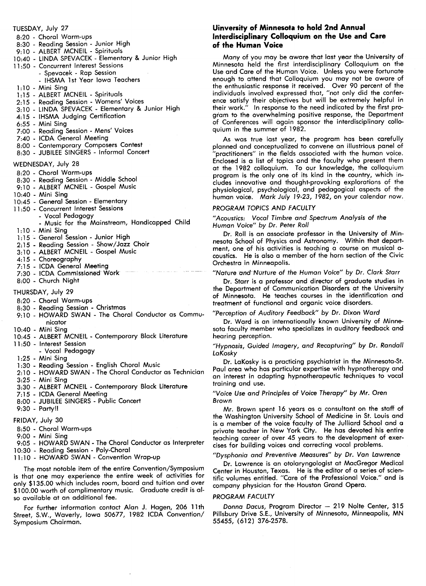TUESDAY, July 27 8:20 - Choral Warm-ups 8:30 - Reading Session - Junior High 9:10 - ALBERT MCNEIL - Spirituals 10:40 - LINDA SPEVACEK - Elementary & Junior High 11 :50 - Concurrent Interest Sessions - Spevacek - Rap Session - IHSMA 1st Year Iowa Teachers 1:10 - Mini Sing 1:15 - ALBERT MCNEIL - Spirituals 2:15 - Reading Session - Womens' Voices 3:10 -LINDA SPEVACEK -Elementary & Junior High 4:15 - IHSMA Judging Certification 6:55 - Mini Sing 7:00 - Reading Session - Mens' Voices 7:40 - lcDA General Meeting 8:00 - Contemporary Composers Contest 8:30 - JUBILEE SINGERS - Informal Concert WEDNESDAY, July 28 8:20 - Choral Warm-ups 8:30 - Reading Session - Middle School 9:10 - ALBERT MCNEIL - Gospel Music 10:40 - Mini Sing 10:45 - General Session - Elementary 11 :50 - Concurrent Interest Sessions - Vocal Pedagogy - Music for the Mainstream, Handicapped Child 1:10 - Mini Sing 1:15 - General Session - Junior High 2:15 - Reading Session - Show/Jazz Choir 3:10 -ALBERT MCNEIL -Gospel Music 4:15 -Choreography 7:15 - ICDA General Meeting 7:30 - ICDA Commissioned Work 8:00 - Church Night THURSDAY, July 29 8:20 - Choral Warm-ups 8:30 - Reading Session - Christmas 9:10 - HOWARD SWAN - The Choral Conductor as Communicator 10:40 - Mini Sing 10:45 - ALBERT MCNEIL - Contemporary Black Literature 11 :50 - Interest Session

- Vocal Pedagogy
- 1:25 Mini Sing
- 1:30 Reading Session English Choral Music
- 2:10 HOWARD SWAN The Choral Conductor as Technician 3:25 - Mini Sing
- 3:30 ALBERT MCNEIL Contemporary Black Literature
- 7:15 ICDA General Meeting
- 8:00 JUBILEE SINGERS Public Concert
- 9:30 Party!!
- FRIDAY, July 30
- 8:50 Choral Warm-ups
- 9:00 Mini Sing
- 9:05 HOWARD SWAN -The Choral Conductor as Interpreter
- 10:30 Reading Session Poly-Choral
- 11 :10 -HOWARD SWAN -Convention Wrap-up

The most notable item of the entire Convention/Symposium is that one may experience the entire week of activities for only S135.00 which includes room, board and tuition and over \$100.00 worth of complimentary music. Graduate credit is also available at an additional fee.

For further information contact Alan J. Hagen, 206 llth Street, S.W., Waverly, Iowa 50677,1982 lcDA Convention/ Symposium Chairman.

## uinversily of Minnesota to hold 2nd Annual Interdisciplinary Colloquium on the Use and Care of the Human Voice

Many of you may be aware that last year the University of Minnesota held the first interdisciplinary Colloquium on the Use and Care of the Human Voice. Unless you were fortunate enough to attend that Colloquium you may not be aware of the enthusiastic response it received. Over 90 percent of the individuals involved expressed that, "not only did the conference satisfy their objectives but will be extremely helpful in their work." ln response to the need indicated by the first program to the overwhelming positive response, the Department of Conferences will again sponsor the interdisciplinary colloquium in the summer of 1982.

As was true last year, the program has been carefully planned and conceptualized to convene an illustrious panel of ''practitioners" in the fields associated with the human voice. Enclosed is a list of topics and the faculty who present them at the 1982 colloquium. To our knowledge, the colloquium program is the only one of its kind in the country, which includes innovative and thought-provoking explorations of the physiological, psychological, and pedagogical aspects of the human voice. Mark July 19-23, 1982, on your calendar now.

### PROGRAM TOPICS AND FACULTY

"Acoustics: Vocal Timbre and Spectrum Analysis of the Human Voice" by Dr. Peter Roll

Dr. Roll is an associate professor in the University of Minnesota School of Physics and Astronomy. Within that department, one of his activities is teaching a course on musical acoustics. He is also a member of the horn section of the Civic Orchestra in Minneapolis.

# "Nature and Nurture of the Human Voice" by Dr. Clark Starr

Dr. Starr is a professor and director of graduate studies in the Department of Communication Disorders at the University of Minnesota. He teaches courses in the identification and treatment of functional and organic voice disorders.

### "Perception of Auditory Feedback" by Dr. Dixon Ward

Dr. Ward is an internationally known University of Minnesota faculty member who specializes in auditory feedback and hearing perception.

### "Hypnosis, Guided Imagery, and Recapturing" by Dr. Randall LaKosky

Dr. LaKosky is a practicing psychiatrist in the Minnesota-St. Paul area who has particular expertise with hypnotherapy and an interest in adapting hypnotherapeutic techniques to vocal training and use.

### "Voice Use and Principles of Voice Therapy" by Mr. Oren Brown

Mr. Brown spent 16 years as a consultant on the staff of the Washington University School of Medicine in St. Louis and is a member of the voice faculty of The Julliard School and a private teacher in New York City. He has devoted his entire teaching career of over 45 years to the development of exercises for building voices and correcting vocal problems.

### `'Dysphonia and Preventive Measures" by Dr. Van Lawrence

Dr. Lawrence is an otolaryngologist at MacGregor Medical Center in Houston, Texas. He is the editor of a series of scientific volumes entitled. ''Care of the Professional Voice." and is company physician for the Houston Grand Opera.

#### PROGRAM FACULTY

Donna Dacus, Program Director - 219 Nolte Center, 315 Pillsbury Drive S.E., University of Minnesota, Minneapolis, MN 55455, (612) 376-2578.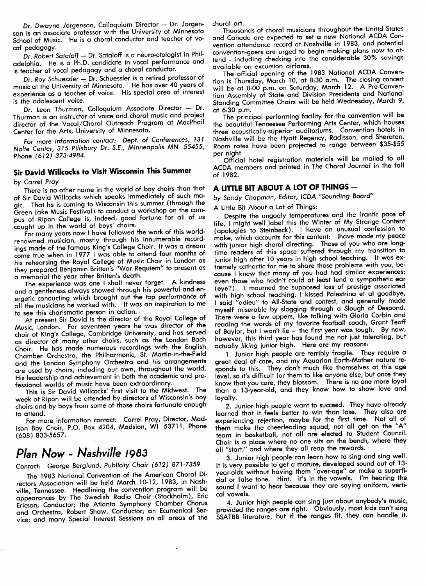Dr. Dwayne Jorgenson, Colloquium Director - Dr. Jorgenson is an associate professor with the University of Minnesota School of Music. He is a choral conductor and teacher of vocal pedagogy.

Dr. Robert Sataloff - Dr. Sataloff is a neuro-otologist in Philadelphia. He is a Ph.D. candidate in vocal performance and is teacher of vocal pedagogy and a choral conductor.

Dr. Roy Schuessler - Dr. Schuessler is a retired professor of music at the University of Minnesota. He has over 40 years of experience as a teacher of voice. His special area of interest is the adolescent voice.

Dr. Leon Thurman, Colloquium Associate Director - Dr. Thurman is an instructor of voice and choral music and proiect director of the Vocal/Choral Outreach Program at Macphail Center for the Arts, University of Minnesota.

For more information contact: Dept. of Conferences, 131 Nolte Center, 315 Pillsbury Dr. S.E., Minneapolis MN 55455, Phone (612) 373-4984.

# Sir David Willcocks to Visit Wisconsin This Summer

by Carrel Pray

There is no other name in the world of boy choirs than that of Sir David Willcocks which speaks immediately of such magic. That he is coming to Wisconsin this summer (through the Green Lake Music Festival) to conduct a workshop on the campus of Ripon College is, indeed, good fortune for all of us caught up in the world of boys' choirs.

For many years now I have followed the work of this worldrenowned musician, mostly through his innumerable recordings made of the famous King's College Choir. It was a dream come true when in 19771 was able to attend four months of his rehearsing the Royal College of Music Choir in London as a memorial the year after Britten's death.

The experience was one I shall never forget. A kindness and a gentleness always showed through his powerful and energetic conducting which brought out the top performance of all the musicians he worked with. It was an inspiration to me to see this charismatic person in action.

At present Sir David is the director of the Royal College of Music, London. For seventeen years he was director of the choir of King`s College, Cambridge University, and has served as director of many other choirs, such as the London Bach Choir. He has made numerous recordings with the English Chamber Orchestra, the Philharmonic, St. Martin-in-the-Field and the London Symphony Orchestra and his arrangements<br>are used by choirs, including our own, throughout the world. His leadership and achievement in both the academic and professional worlds of music have been extraordinary.

This is Sir David Willcocks' first visit to the Midwest. The week at Ripon will be attended by directors of Wisconsin's boy choirs and by boys from some of those choirs fortunate enough to attend.

For more information contact: Carrel Pray, Director, Madison Boy Choir, P.O. Box 4204, Madsion, Wl 53711, Phone (608) 833-5657.

# plan Now - Nashville 1983

Contact: George Berglund, Publicity Chair (612) 871-7359

The 1983 National Convention of the American Choral Directors Association will be held March 10-12,1983, in Nashville, Tennessee. Headlining the convention program will. be appearances by The Swedish Radio Choir (Stockholm), Eric Ericson, Conductor; the Atlanta Symphony Chamber Chorus and Orchestra, Robert Shaw, Conductor; an Ecumenical Service; and many Special Interest Sessions on all areas of the

choral art.

Thousands of choral musicians throughout the Unittd States and Canada are expected to set a new National ACDA Convention attendance record at Nashville in 1983, and potential tend - including checking into the considerable 30% savings available on excursion airfares.

The official opening of the 1983 National ACDA Convention is Thursday, March 10, at 8:30 a.m. The closing concert will be at 8:00 p.m. on Saturday, March 12. A Pre-Convention Assembly of State and Division Presidents and National Standing Committee Chairs will be held Wednesday, March 9, at  $6:30$  p.m.

The principal performing facility for the convention will be the beautiful Tennessee Performing Arts Center, which houses three acoustically-superior auditoriums. Convention hotels in Nashville will be the Hyatt Regency, Radisson, and Sheraton. Room rates have been projected to range between \$35-\$55 per night.

Official hotel registration materials will be mailed to all ACDA members and printed in The Choral Journal in the fall of 1982.

# A LITTLE BIT ABOUT A LOT OF THINGS -

by Sandy Chapman, Editor, ICDA "Sounding Board"

A Little Bit About a Lot of Things:

Despite the ungodly temperatures and the frantic pace of life, I might well label this the Winter of My Strange Content (apologies to Steinbeck). I have an unusual confession to make, which accounts for this content: lhave made my peace with junior high choral directing. Those of you who are longtime readers of this space suffered through my transition to iunior high after 10 years in high school teaching. It was extremely cathartic for me to share those problems with you, be-<br>cause I knew that many of you had had similar experiences; even those who hadn't could at least lend a sympathetic ear (eye?). I mourned the supposed loss of prestige associated with high school teaching, I kissed Palestrina et al goodbye,<br>I said "adieu" to All-State and contest, and generally made myself miserable by slogging through a Slough of Despond. There were a few uppers, like talking with Gloria Corbin and reading the words of my favorite football coach, Grant Teaff of Baylor, but I won't lie - the first year was tough. By now, however, this third year has found me not just tolerating, but actually liking junior high. Here are my reasons:

1. Junior high people are terribly fragile. They require a great deal of care, and my Aquarian Earth-Mother nature responds to this. They don't much like themselves at this age level, so it's difficult for them to like anyone else, but once they know that you care, they blossom. There is no one more loyal than a 13-year-old, and they know how to show love and loyalty.

2. Junior high people want to succeed. They have already learned that it feels better to win than lose. They also are experiencing reiection, maybe for the first time. Not all of them make the cheerleading squad, not all get on the `'A'' team in basketball, not all are elected to Student Council. Choir is a place where no one sits on the bench, where they all ''start," and where they all reap the rewards.

3. Junior high people can learn how to sing and sing well. It is very possible to get a mature, developed sound out of 13 year-olds without having them "over-age" or make a superficial or false tone. Hint: it's in the vowels. I'm hearing the sound I want to hear because they are saying uniform, verticol vowels.

4. Junior high people can sing just about anybody's music, provided the ranges are right. Obviously, most kids can't sing SSATBB literature, but if the ranges fit, they can handle it.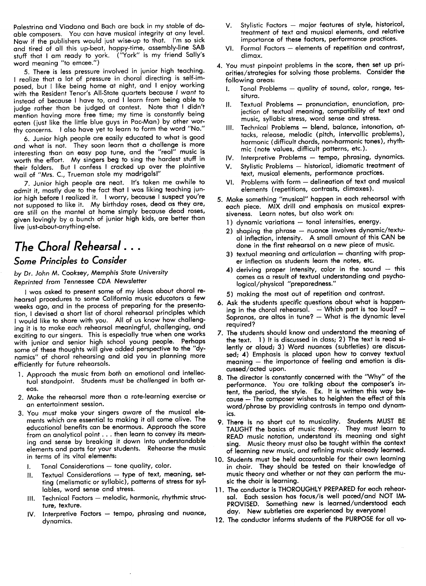Palestrina and Viadana and Bach are back in my stable of doable composers. You can have musical integrity at any level. Now if the publishers would just wise-up to that. I`m so sick and tired of all this up-beat, happy-time, assembly-line SAB stuff that I am ready to york. ("York" is my friend Sally's word meaning ''to emcee.")

5. There is less pressure involved in junior high teaching. I realize that a lot of pressure in choral directing is self-imposed, but I like being home at night, and I enioy working with the Resident Tenor's All-State quartets because I want to instead of because I have to, and I learn from being able to judge rather than be judged at contest. Note that I didn't mention having more free time; my time is constantly being eaten (just like the little blue guys in Pac-Man) by other worthy concerns. I also have yet to learn to form the word ''No."

6. Junior high people are easily educated to what is good and what is not. They soon learn that a challenge is more interesting than an easy pop tune, and the "real" music is worth the effort. My singers beg to sing the hardest stuff in their folders. But I confess I cracked up over the plaintive wail of ''Mrs. C., Trueman stole my madrigals!"

7. Junior high people are neat. It's taken me awhile to admit it, mostly due to the fact that I was liking teaching junior high before I realized it. I worry, because I suspect you're not supposed to like it. My birthday roses, dead as they are, are still on the mantel at home simply because dead roses, given lovingly by a bunch of junior high kids, are better than live just-about-anything-else.

# The Choral Rehearsal . . .

# Some Principles to Consider

## by Dr. John M. Cooksey, Memphis State University Reprinted from Tennessee CDA Newsletter

I was asked to present some of my ideas about choral rehearsal procedures to some California music educators a few weeks ago, and in the process of preparing for the presentation, I devised a short list of choral rehearsal principles which I would like to share with you. All of us know how challenging it is to make each rehearsal meaningful, challenging, and exciting to our singers. This is especially true when one works with junior and senior high school young people. Perhaps some of these thoughts will give added perspective to the ''dynamics" of choral rehearsing and aid you in planning more efficiently for future rehearsals.

- 1. Approach the music from both an emotional and intellectual standpoint. Students must be challenged in both areas.
- 2. Make the rehearsal more than a rote-learning exercise or an entertainment session.
- 3. You must make your singers aware of the musical elements which are essential to making it all come alive. The educational benefits can be enormous. Approach the score from an analytical point . . . then learn to convey its meaning and sense by breaking it down into understandable elements and parts for your students. Rehearse the music in terms of its vital elements:
	- I. Tonal Considerations tone quality, color.
	- 11. Textual Considerations type of text, meaning, setting (melismatic or syllabic), patterns of stress for syllables, word sense and stress.
	- III. Technical Factors melodic, harmonic, rhythmic structure, texture.
	- IV. Interpretive Factors tempo, phrasing and nuance, dynamics.
- V. Stylistic Factors major features of style, historical, treatment of text and musical elements, and relative importance of these factors, performance practices.
- VI. Formal Factors elements of repetition and contrast, climax.
- 4. You must pinpoint problems in the score, then set up priorities/strategies for solving those problems. Consider the following areas:
	- 1. Tonal Problems quality of sound, color, range, tessitura.
	- 11. Textual Problems pronunciation, enunciation, projection of textual meaning, compatibility of text and music, syllabic stress, word sense and stress.
	- III. Technical Problems blend, balance, intonation, attacks, release, melodic (pitch, intervallic problems), harmonic (difficult chords, non-harmonic tones), rhythmic (note values, difficult patterns, etc.).
	- IV. Interpretive Problems tempo, phrasing, dynamics.
	- Stylistic Problems historical, idiomatic treatment of text, musical elements, performance practices.
	- VI. Problems with form delineation of text and musical elements (repetitions, contrasts, climaxes).
- 5. Make something ''musical'' happen in each rehearsal with each piece. MIX drill and emphasis on musical expressiveness. Learn notes, but also work on:
	- 1) dynamic variations tonal intensities, energy.
	- 2) shaping the phrase  $-$  nuance involves dynamic/textual inflection, intensity. A small amount of this CAN be done in the first rehearsal on a new piece of music.
	- $3)$  textual meaning and articulation  $-$  chanting with proper inflection as students learn the notes, etc.
	- 4) deriving proper intensity, color in the sound  $-$  this comes as a result of textual understanding and psychological/physical ''preparedness."
	- 5) making the most out of repetition and contrast.
- 6. Ask the students specific questions about what is happening in the choral rehearsal.  $-$  Which part is too loud?  $-$ Sopranos, are altos in tune? — What is the dynamic level required?
- 7. The students should know and understand the meaning of the text. 1) It is discussed in class; 2) The text is read silently or aloud; 3) Word nuances (subtleties) are discussed; 4) Emphasis is placed upon how to convey textual meaning  $-$  the importance of feeling and emotion is discussed/acted upon.
- 8. The director is constantly concerned with the ''Why" of the performance. You are talking about the composer's intent, the period, the style. Ex. It is written this way because - The composer wishes to heighten the effect of this word/phrase by providing contrasts in tempo and dynamics.
- 9. There is no short cut to musicality. Students MUST BE TAUGHT the basics of music theory. They must learn to READ music notation, understand its meaning and sight sing. Music theory must also be taught within the context of learning new music, and refining music already learned.
- 10. Students must be held accountable for their own learning in choir. They should be tesfed on their knowledge of music theory and whether or not they can perform the music the choir is learning.
- 11. The conductor is THOROUGHLY PREPARED for each rehearsol. Each session has focus/is well paced/and NOT IM-PROVISED. Something new is learned/understood each day. New subtleties are experienced by everyone!
- 12. The conductor informs students of the PURPOSE for all vo-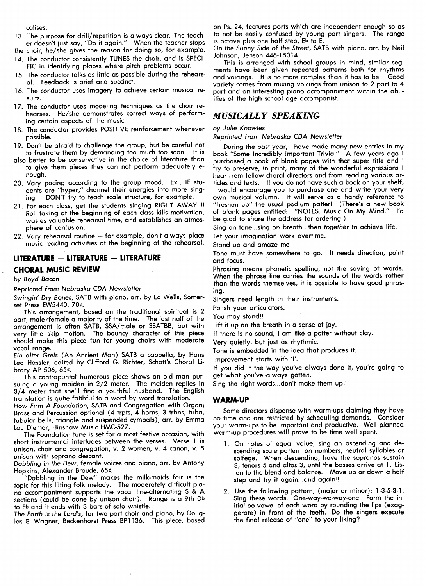calises.

- 13. The purpose for drill/repetition is always clear. The teacher doesn't iust say, ''Do it again.'' When the teacher stops
- the choir, he/she gives the reason for doing so, for example.
- ]4. The conductor consistently TUNES the choir, and is SPEcl-FIC in identifying places where pitch problems occur.
- 15. The conductor talks as little as possible during the rehearsal. Feedback is brief and succinct.
- 16. The conductor uses imagery to achieve certain musical re. sults.
- 17. The conductor uses modeling techniques as the choir rehearses. He/she demonstrates correct ways of performing certain aspects of the music.
- 18. The conductor provides POSITIVE reinforcement whenever possible.
- ]9. Don't be afraid to challenge the group, but be careful not to frustrate them by demanding too much too soon. It is
- also better to be conservative in the choice of literature than to give them pieces they can not perform adequately enough.
- 20. Vary pacing according to the group mood. Ex., lF students are "hyper," channel their energies into more sing- $\mu$ ing  $-$  DON'T try to teach scale structure, for example.
- 21. For each class, get the students singing RIGHT AWAY!!!! Roll taking at the beginning of each class kills motivation, wastes valuable rehearsal time, and establishes an atmosphere of confusion.
- 22. Vary rehearsal routine for example, don't always place music reading activities at the beginning of the rehearsal.

# LITERATURE - LITERATURE - LITERATURE

# CHORAL MUSIC REVIEW

# by Boyd Bacon

Reprinted from Nebraska CDA Newsletter

Swingin' Dry Bones, SATB with piano, arr. by Ed Wells, Somerset Press EW5440, 70¢.

This arrangement, based on the traditional spiritual is 2 part, male/female a majority of the time. The last half of the arrangement is Often SATB, SSA/male or SSATBB, but with very little skip motion. The bouncy character of this piece should make this piece fun for young choirs with moderate vocal range.

Ein alter Greis (An Ancient Man) SATB a cappella, by Hans Leo Hassler, edited by Clifford G. Richter, Schott's Choral Library AP 506, 65¢.

This contrapuntal humorous piece shows an old man pursuing a young maiden in 2/2 meter. The maiden replies in 3/4 meter that she'll find a youthful husband. The English translation is quite faithful to a word by word translation.

How Firm A Foundation, SATB and Congregation with Organ; Brass and Percussion optional (4 trpts, 4 horns, 3 trbns, tuba, tubular bells, triangle and suspended cymbals), arr. by Emma Lou Diemer, Hinshaw Music HMC-527.

The Foundation tune is set for a most festive occasion, with short instrumental interludes between the verses. Verse I is unison, choir and congregation, v. 2 women, v. 4 canon, v. 5 unison with soprano descant.

Dabbling in the Dew, female voices and piano, arr. by Antony Hopkins, Alexander Broude, 65¢.

`'Dabbling in the Dew" makes the milk-maids fair is the topic for this lilting folk melody. The moderately difficult piano accompaniment supports the vocal line-Qlternating S & A sections (could be done by unison choir). Range is a 9th Db to Eb and it ends with 3 bars of solo whistle.

The Earth is the Lord's, for two part choir and piano, by Douglas E. Wagner, Beckenhorst Press BP1136. This piece, based on Ps. 24, features parts which are independent enough so as to not be easily confused by young part singers. The range is octave plus one half step, Eb to E.

On the Sunny Side of the Street, SATB with piano, arr. by Neil Johnson, Jenson 446-15014.

This is arranged with school groups in mind, similar segments have been given repeated patterns both for rhythms and voicings. It is no more complex than it has to be. Good variety comes from mixing voicings from unison to 2 part to 4 part and an interesting piano accompaniment within the abilities of the high school age accompanist.

# **MUSICALLY SPEAKING**

### by Julie Knowles

Reprinted from Nebraska CDA Newsletter

During the past year, I have made many new entries in my book "Some Incredibly Important Trivia." A few years ago I purchased a book of blank pages with that super title and try to preserve, in print, many of the wonderful expressions I hear from fellow choral directors and from reading various articles and texts. If you do not have such a book on your shelf, I would encourage you to purchase one and write your very own musical volumn. It will serve as a handy reference to "freshen up" the usual podium patter! (There's a new book of blank pages entitled: "NOTES...Music On My Mind." l'd be glad to share the address for ordering.)

Sing on tone...sing on breath...then together to achieve life.

Let your imagination work overtime.

Stand up and amaze me!

Tone must have somewhere to go. It needs direction, point and focus.

Phrasing means phonetic spelling, not the saying of words. When the phrase line carries the sounds of the words rather than the words themselves, it is possible to have good phrasing.

Singers need length in their instruments.

Polish your articulators.

You may stand!!

Lift it up on the breath in a sense of ioy.

If there is no sound, I am like a potter without clay.

Very quietly, but just as rhythmic.

Tone is embedded in the idea that produces it.

Improvement starts with '1'.

If you did it the way you`ve always done it, you're going to get what you've always gotten.

Sing the right words...don't make them up!!

### WARM-UP

Some directors dispense with warm-ups claiming they have no time and are restricted by scheduling demands. Consider your warm-ups to be important and productive. Well planned warm-up procedures will prove to be time well spent.

- 1. On notes of equal value, sing an ascending and descending scale pattern on numbers, neutral syllables or solfege. When descending, have the sopranos sustain 8, tenors 5 and altos 3, until the basses arrive at 1. Listen to the blend and balance. Move up or down a half step and try it again...and again!!
- 2. Use the following pattern, (maior or minor): 1-3-5-3-I. Sing these words: One-way-we-way-one. Form the initial oo vowel of each word by rounding the lips (exage) in front of the teeth. Do the singers execute nal release of ''one" to your liking?